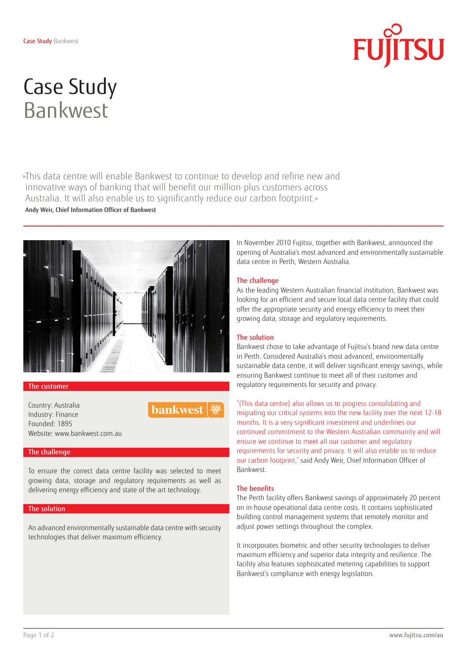

# Case Study Bankwest

»This data centre will enable Bankwest to continue to develop and refine new and innovative ways of banking that will benefit our million-plus customers across Australia. It will also enable us to significantly reduce our carbon footprint.« Andy Weir, Chief Information Officer of Bankwest



#### The customer

Country: Australia Industry: Finance Founded: 1895 Website: www.bankwest.com.au



### The challenge

To ensure the correct data centre facility was selected to meet growing data, storage and regulatory requirements as well as delivering energy efficiency and state of the art technology.

#### The solution

An advanced environmentally sustainable data centre with security technologies that deliver maximum efficiency.

In November 2010 Fujitsu, together with Bankwest, announced the opening of Australia's most advanced and environmentally sustainable data centre in Perth, Western Australia.

### The challenge

As the leading Western Australian financial institution, Bankwest was looking for an efficient and secure local data centre facility that could offer the appropriate security and energy efficiency to meet their growing data, storage and regulatory requirements.

#### The solution

Bankwest chose to take advantage of Fujitsu's brand new data centre in Perth. Considered Australia's most advanced, environmentally sustainable data centre, it will deliver significant energy savings, while ensuring Bankwest continue to meet all of their customer and regulatory requirements for security and privacy.

"(This data centre) also allows us to progress consolidating and migrating our critical systems into the new facility over the next 12-18 months. It is a very significant investment and underlines our continued commitment to the Western Australian community and will ensure we continue to meet all our customer and regulatory requirements for security and privacy. It will also enable us to reduce our carbon footprint," said Andy Weir, Chief Information Officer of Bankwest.

## The benefits

The Perth facility offers Bankwest savings of approximately 20 percent on in-house operational data centre costs. It contains sophisticated building control management systems that remotely monitor and adjust power settings throughout the complex.

It incorporates biometric and other security technologies to deliver maximum efficiency and superior data integrity and resilience. The facility also features sophisticated metering capabilities to support Bankwest's compliance with energy legislation.